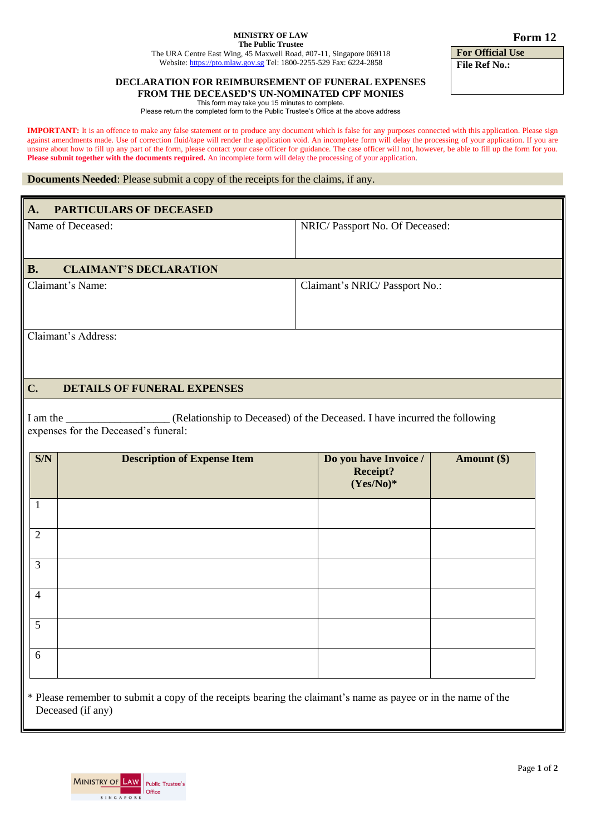## **MINISTRY OF LAW The Public Trustee**

The URA Centre East Wing, 45 Maxwell Road, #07-11, Singapore 069118 Website[: https://pto.mlaw.gov.sg](https://pto.mlaw.gov.sg/) Tel: 1800-2255-529 Fax: 6224-2858

## **DECLARATION FOR REIMBURSEMENT OF FUNERAL EXPENSES FROM THE DECEASED'S UN-NOMINATED CPF MONIES**

This form may take you 15 minutes to complete.

Please return the completed form to the Public Trustee's Office at the above address

**IMPORTANT:** It is an offence to make any false statement or to produce any document which is false for any purposes connected with this application. Please sign against amendments made. Use of correction fluid/tape will render the application void. An incomplete form will delay the processing of your application. If you are unsure about how to fill up any part of the form, please contact your case officer for guidance. The case officer will not, however, be able to fill up the form for you. **Please submit together with the documents required.** An incomplete form will delay the processing of your application.

## **Documents Needed**: Please submit a copy of the receipts for the claims, if any.

| A.                                                  | <b>PARTICULARS OF DECEASED</b>       |                                                                           |             |
|-----------------------------------------------------|--------------------------------------|---------------------------------------------------------------------------|-------------|
|                                                     |                                      |                                                                           |             |
| Name of Deceased:                                   |                                      | NRIC/Passport No. Of Deceased:                                            |             |
|                                                     |                                      |                                                                           |             |
| <b>B.</b>                                           | <b>CLAIMANT'S DECLARATION</b>        |                                                                           |             |
| Claimant's Name:                                    |                                      | Claimant's NRIC/Passport No.:                                             |             |
|                                                     |                                      |                                                                           |             |
|                                                     |                                      |                                                                           |             |
|                                                     | Claimant's Address:                  |                                                                           |             |
|                                                     |                                      |                                                                           |             |
|                                                     |                                      |                                                                           |             |
| $C_{\bullet}$<br><b>DETAILS OF FUNERAL EXPENSES</b> |                                      |                                                                           |             |
|                                                     |                                      |                                                                           |             |
| I am the                                            |                                      | (Relationship to Deceased) of the Deceased. I have incurred the following |             |
|                                                     | expenses for the Deceased's funeral: |                                                                           |             |
| S/N                                                 | <b>Description of Expense Item</b>   | Do you have Invoice /                                                     | Amount (\$) |
|                                                     |                                      | Receipt?                                                                  |             |
|                                                     |                                      | $(Yes/No)*$                                                               |             |
| $\mathbf{1}$                                        |                                      |                                                                           |             |
|                                                     |                                      |                                                                           |             |
| $\overline{2}$                                      |                                      |                                                                           |             |
|                                                     |                                      |                                                                           |             |
| $\overline{3}$                                      |                                      |                                                                           |             |
|                                                     |                                      |                                                                           |             |
| $\overline{4}$                                      |                                      |                                                                           |             |
|                                                     |                                      |                                                                           |             |
| 5                                                   |                                      |                                                                           |             |
|                                                     |                                      |                                                                           |             |
| 6                                                   |                                      |                                                                           |             |
|                                                     |                                      |                                                                           |             |
|                                                     |                                      |                                                                           |             |

\* Please remember to submit a copy of the receipts bearing the claimant's name as payee or in the name of the Deceased (if any)



**For Official Use File Ref No.:**